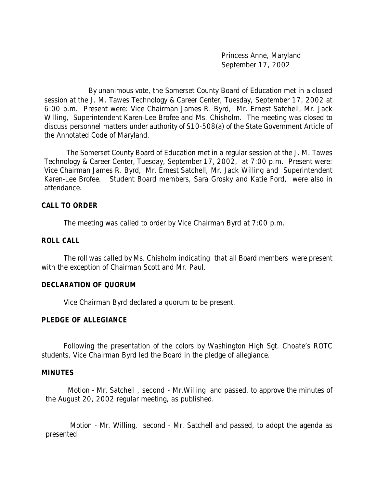Princess Anne, Maryland September 17, 2002

By unanimous vote, the Somerset County Board of Education met in a closed session at the J. M. Tawes Technology & Career Center, Tuesday, September 17, 2002 at 6:00 p.m. Present were: Vice Chairman James R. Byrd, Mr. Ernest Satchell, Mr. Jack Willing, Superintendent Karen-Lee Brofee and Ms. Chisholm. The meeting was closed to discuss personnel matters under authority of S10-508(a) of the State Government Article of the Annotated Code of Maryland.

 The Somerset County Board of Education met in a regular session at the J. M. Tawes Technology & Career Center, Tuesday, September 17, 2002, at 7:00 p.m. Present were: Vice Chairman James R. Byrd, Mr. Ernest Satchell, Mr. Jack Willing and Superintendent Karen-Lee Brofee. Student Board members, Sara Grosky and Katie Ford, were also in attendance.

#### **CALL TO ORDER**

The meeting was called to order by Vice Chairman Byrd at 7:00 p.m.

### **ROLL CALL**

The roll was called by Ms. Chisholm indicating that all Board members were present with the exception of Chairman Scott and Mr. Paul.

## **DECLARATION OF QUORUM**

Vice Chairman Byrd declared a quorum to be present.

## **PLEDGE OF ALLEGIANCE**

Following the presentation of the colors by Washington High Sgt. Choate's ROTC students, Vice Chairman Byrd led the Board in the pledge of allegiance.

#### **MINUTES**

Motion - Mr. Satchell , second - Mr.Willing and passed, to approve the minutes of the August 20, 2002 regular meeting, as published.

 Motion - Mr. Willing, second - Mr. Satchell and passed, to adopt the agenda as presented.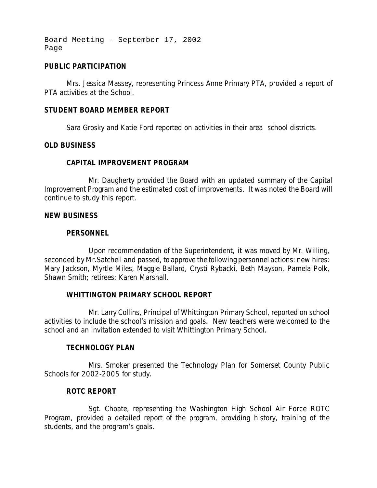Board Meeting - September 17, 2002 Page

## **PUBLIC PARTICIPATION**

Mrs. Jessica Massey, representing Princess Anne Primary PTA, provided a report of PTA activities at the School.

## **STUDENT BOARD MEMBER REPORT**

Sara Grosky and Katie Ford reported on activities in their area school districts.

## **OLD BUSINESS**

# **CAPITAL IMPROVEMENT PROGRAM**

Mr. Daugherty provided the Board with an updated summary of the Capital Improvement Program and the estimated cost of improvements. It was noted the Board will continue to study this report.

### **NEW BUSINESS**

## **PERSONNEL**

Upon recommendation of the Superintendent, it was moved by Mr. Willing, seconded by Mr.Satchell and passed, to approve the following personnel actions: new hires: Mary Jackson, Myrtle Miles, Maggie Ballard, Crysti Rybacki, Beth Mayson, Pamela Polk, Shawn Smith; retirees: Karen Marshall.

## **WHITTINGTON PRIMARY SCHOOL REPORT**

Mr. Larry Collins, Principal of Whittington Primary School, reported on school activities to include the school's mission and goals. New teachers were welcomed to the school and an invitation extended to visit Whittington Primary School.

## **TECHNOLOGY PLAN**

Mrs. Smoker presented the Technology Plan for Somerset County Public Schools for 2002-2005 for study.

## **ROTC REPORT**

Sgt. Choate, representing the Washington High School Air Force ROTC Program, provided a detailed report of the program, providing history, training of the students, and the program's goals.